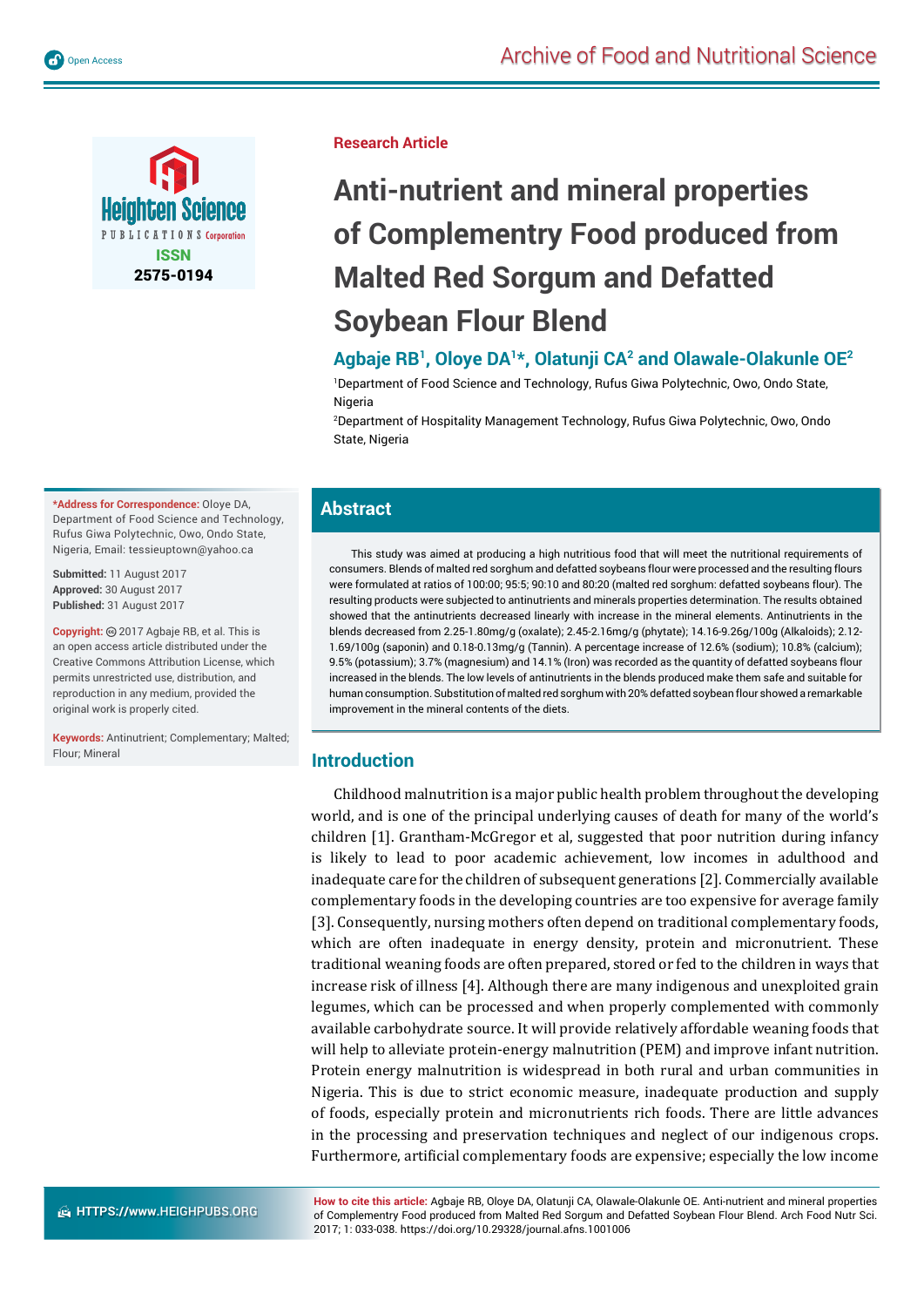

**Research Article**

# **Anti-nutrient and mineral properties of Complementry Food produced from Malted Red Sorgum and Defatted Soybean Flour Blend**

# **Agbaje RB1, Oloye DA1\*, Olatunji CA2 and Olawale-Olakunle OE2**

1 Department of Food Science and Technology, Rufus Giwa Polytechnic, Owo, Ondo State, Nigeria

2 Department of Hospitality Management Technology, Rufus Giwa Polytechnic, Owo, Ondo State, Nigeria

# **Abstract**

This study was aimed at producing a high nutritious food that will meet the nutritional requirements of consumers. Blends of malted red sorghum and defatted soybeans flour were processed and the resulting flours were formulated at ratios of 100:00: 95:5; 90:10 and 80:20 (malted red sorghum: defatted soybeans flour). The resulting products were subjected to antinutrients and minerals properties determination. The results obtained showed that the antinutrients decreased linearly with increase in the mineral elements. Antinutrients in the blends decreased from 2.25-1.80mg/g (oxalate); 2.45-2.16mg/g (phytate); 14.16-9.26g/100g (Alkaloids); 2.12- 1.69/100g (saponin) and 0.18-0.13mg/g (Tannin). A percentage increase of 12.6% (sodium); 10.8% (calcium); 9.5% (potassium); 3.7% (magnesium) and 14.1% (Iron) was recorded as the quantity of defatted soybeans flour increased in the blends. The low levels of antinutrients in the blends produced make them safe and suitable for human consumption. Substitution of malted red sorghum with 20% defatted soybean flour showed a remarkable improvement in the mineral contents of the diets.

# **Introduction**

Childhood malnutrition is a major public health problem throughout the developing world, and is one of the principal underlying causes of death for many of the world's children [1]. Grantham-McGregor et al, suggested that poor nutrition during infancy is likely to lead to poor academic achievement, low incomes in adulthood and inadequate care for the children of subsequent generations [2]. Commercially available complementary foods in the developing countries are too expensive for average family [3]. Consequently, nursing mothers often depend on traditional complementary foods, which are often inadequate in energy density, protein and micronutrient. These traditional weaning foods are often prepared, stored or fed to the children in ways that increase risk of illness [4]. Although there are many indigenous and unexploited grain legumes, which can be processed and when properly complemented with commonly available carbohydrate source. It will provide relatively affordable weaning foods that will help to alleviate protein-energy malnutrition (PEM) and improve infant nutrition. Protein energy malnutrition is widespread in both rural and urban communities in Nigeria. This is due to strict economic measure, inadequate production and supply of foods, especially protein and micronutrients rich foods. There are little advances in the processing and preservation techniques and neglect of our indigenous crops. Furthermore, artificial complementary foods are expensive; especially the low income

**How to cite this article:** Agbaje RB, Oloye DA, Olatunji CA, Olawale-Olakunle OE. Anti-nutrient and mineral properties of Complementry Food produced from Malted Red Sorgum and Defatted Soybean Flour Blend. Arch Food Nutr Sci. 2017; 1: 033-038. https://doi.org/10.29328/journal.afns.1001006

**\*Address for Correspondence:** Oloye DA, Department of Food Science and Technology, Rufus Giwa Polytechnic, Owo, Ondo State, Nigeria, Email: tessieuptown@yahoo.ca

**Submitted:** 11 August 2017 **Approved:** 30 August 2017 **Published:** 31 August 2017

**Copyright:** 2017 Agbaje RB, et al. This is an open access article distributed under the Creative Commons Attribution License, which permits unrestricted use, distribution, and reproduction in any medium, provided the original work is properly cited.

**Keywords:** Antinutrient; Complementary; Malted; Flour; Mineral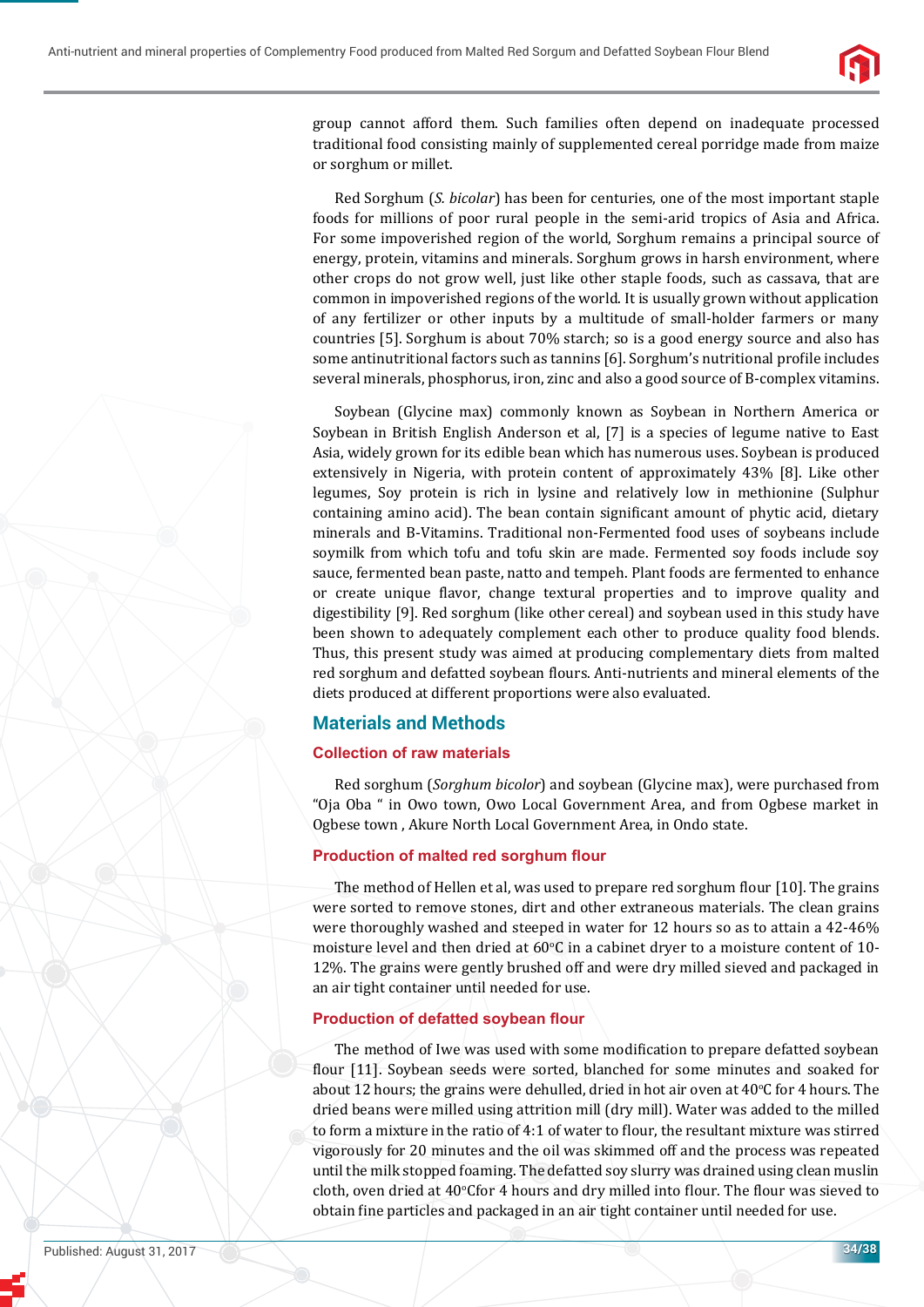

group cannot afford them. Such families often depend on inadequate processed traditional food consisting mainly of supplemented cereal porridge made from maize or sorghum or millet.

Red Sorghum (*S. bicolar*) has been for centuries, one of the most important staple foods for millions of poor rural people in the semi-arid tropics of Asia and Africa. For some impoverished region of the world, Sorghum remains a principal source of energy, protein, vitamins and minerals. Sorghum grows in harsh environment, where other crops do not grow well, just like other staple foods, such as cassava, that are common in impoverished regions of the world. It is usually grown without application of any fertilizer or other inputs by a multitude of small-holder farmers or many countries [5]. Sorghum is about 70% starch; so is a good energy source and also has some antinutritional factors such as tannins [6]. Sorghum's nutritional profile includes several minerals, phosphorus, iron, zinc and also a good source of B-complex vitamins.

Soybean (Glycine max) commonly known as Soybean in Northern America or Soybean in British English Anderson et al, [7] is a species of legume native to East Asia, widely grown for its edible bean which has numerous uses. Soybean is produced extensively in Nigeria, with protein content of approximately 43% [8]. Like other legumes, Soy protein is rich in lysine and relatively low in methionine (Sulphur containing amino acid). The bean contain significant amount of phytic acid, dietary minerals and B-Vitamins. Traditional non-Fermented food uses of soybeans include soymilk from which tofu and tofu skin are made. Fermented soy foods include soy sauce, fermented bean paste, natto and tempeh. Plant foods are fermented to enhance or create unique flavor, change textural properties and to improve quality and digestibility [9]. Red sorghum (like other cereal) and soybean used in this study have been shown to adequately complement each other to produce quality food blends. Thus, this present study was aimed at producing complementary diets from malted red sorghum and defatted soybean flours. Anti-nutrients and mineral elements of the diets produced at different proportions were also evaluated.

# **Materials and Methods**

## **Collection of raw materials**

Red sorghum (*Sorghum bicolor*) and soybean (Glycine max), were purchased from "Oja Oba " in Owo town, Owo Local Government Area, and from Ogbese market in Ogbese town , Akure North Local Government Area, in Ondo state.

# **Production of malted red sorghum flour**

The method of Hellen et al, was used to prepare red sorghum flour [10]. The grains were sorted to remove stones, dirt and other extraneous materials. The clean grains were thoroughly washed and steeped in water for 12 hours so as to attain a 42-46% moisture level and then dried at  $60^{\circ}$ C in a cabinet dryer to a moisture content of 10-12%. The grains were gently brushed off and were dry milled sieved and packaged in an air tight container until needed for use.

## **Production of defatted soybean flour**

The method of Iwe was used with some modification to prepare defatted soybean flour [11]. Soybean seeds were sorted, blanched for some minutes and soaked for about 12 hours; the grains were dehulled, dried in hot air oven at  $40^{\circ}$ C for 4 hours. The dried beans were milled using attrition mill (dry mill). Water was added to the milled to form a mixture in the ratio of 4:1 of water to flour, the resultant mixture was stirred vigorously for 20 minutes and the oil was skimmed off and the process was repeated until the milk stopped foaming. The defatted soy slurry was drained using clean muslin cloth, oven dried at 40°Cfor 4 hours and dry milled into flour. The flour was sieved to obtain fine particles and packaged in an air tight container until needed for use.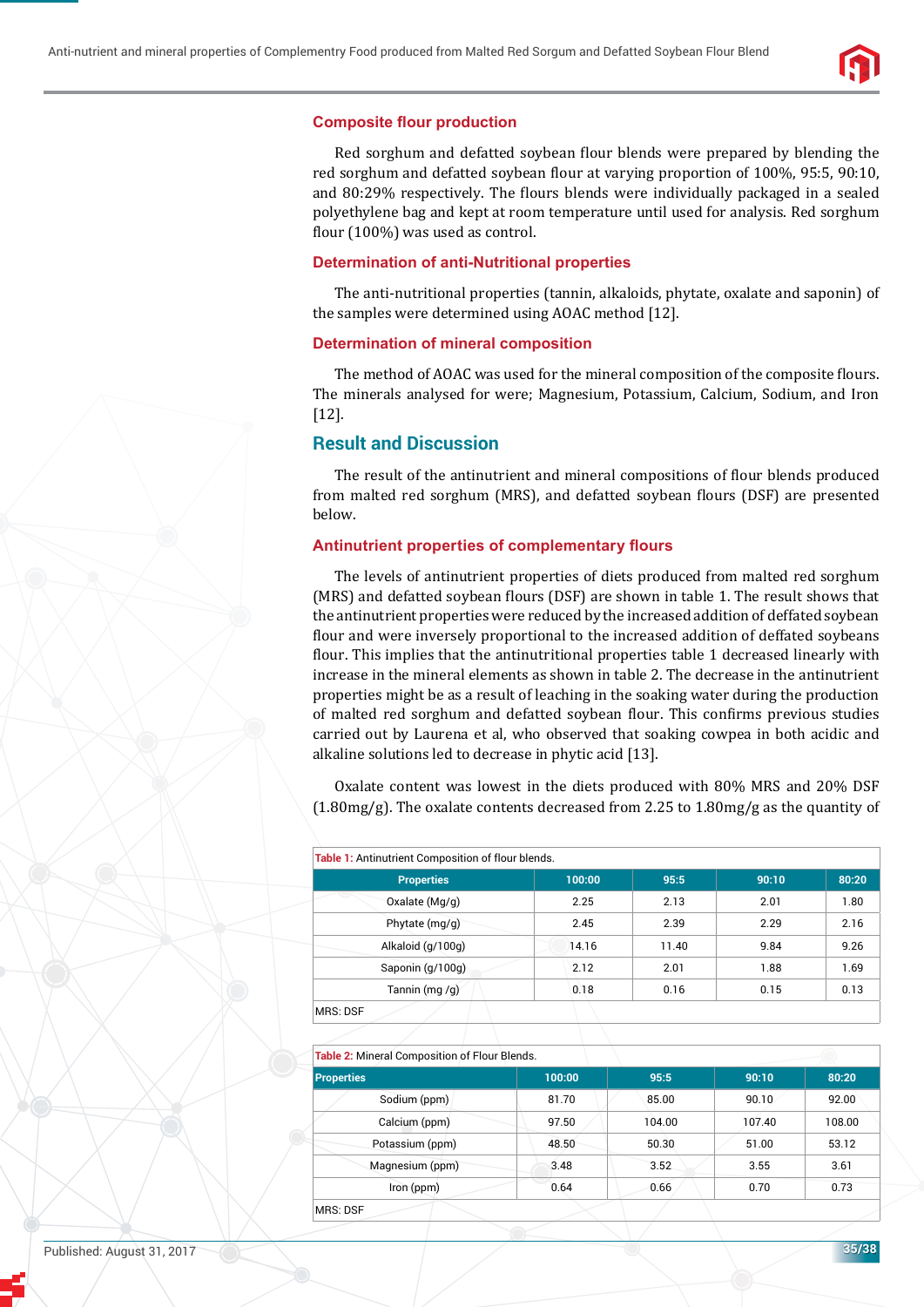

#### **Composite flour production**

Red sorghum and defatted soybean flour blends were prepared by blending the red sorghum and defatted soybean flour at varying proportion of 100%, 95:5, 90:10, and 80:29% respectively. The flours blends were individually packaged in a sealed polyethylene bag and kept at room temperature until used for analysis. Red sorghum flour  $(100\%)$  was used as control.

#### **Determination of anti-Nutritional properties**

The anti-nutritional properties (tannin, alkaloids, phytate, oxalate and saponin) of the samples were determined using AOAC method [12].

#### **Determination of mineral composition**

The method of AOAC was used for the mineral composition of the composite flours. The minerals analysed for were; Magnesium, Potassium, Calcium, Sodium, and Iron [12].

### **Result and Discussion**

The result of the antinutrient and mineral compositions of flour blends produced from malted red sorghum (MRS), and defatted soybean flours (DSF) are presented below.

#### **Antinutrient properties of complementary flours**

The levels of antinutrient properties of diets produced from malted red sorghum (MRS) and defatted soybean flours (DSF) are shown in table 1. The result shows that the antinutrient properties were reduced by the increased addition of deffated soybean flour and were inversely proportional to the increased addition of deffated soybeans flour. This implies that the antinutritional properties table 1 decreased linearly with increase in the mineral elements as shown in table 2. The decrease in the antinutrient properties might be as a result of leaching in the soaking water during the production of malted red sorghum and defatted soybean flour. This confirms previous studies carried out by Laurena et al, who observed that soaking cowpea in both acidic and alkaline solutions led to decrease in phytic acid [13].

Oxalate content was lowest in the diets produced with 80% MRS and 20% DSF  $(1.80mg/g)$ . The oxalate contents decreased from 2.25 to 1.80mg/g as the quantity of

| <b>Properties</b> | 100:00 | 95:5  | 90:10 | 80:20 |
|-------------------|--------|-------|-------|-------|
| Oxalate (Mg/g)    | 2.25   | 2.13  | 2.01  | 1.80  |
| Phytate (mg/g)    | 2.45   | 2.39  | 2.29  | 2.16  |
| Alkaloid (g/100g) | 14.16  | 11.40 | 9.84  | 9.26  |
| Saponin (g/100g)  | 2.12   | 2.01  | 1.88  | 1.69  |
| Tannin (mg/g)     | 0.18   | 0.16  | 0.15  | 0.13  |

**Table 2:** Mineral Composition of Flour Blends.

| <b>Properties</b> | 100:00 | 95:5   | 90:10  | 80:20  |
|-------------------|--------|--------|--------|--------|
| Sodium (ppm)      | 81.70  | 85.00  | 90.10  | 92.00  |
| Calcium (ppm)     | 97.50  | 104.00 | 107.40 | 108.00 |
| Potassium (ppm)   | 48.50  | 50.30  | 51.00  | 53.12  |
| Magnesium (ppm)   | 3.48   | 3.52   | 3.55   | 3.61   |
| Iron (ppm)        | 0.64   | 0.66   | 0.70   | 0.73   |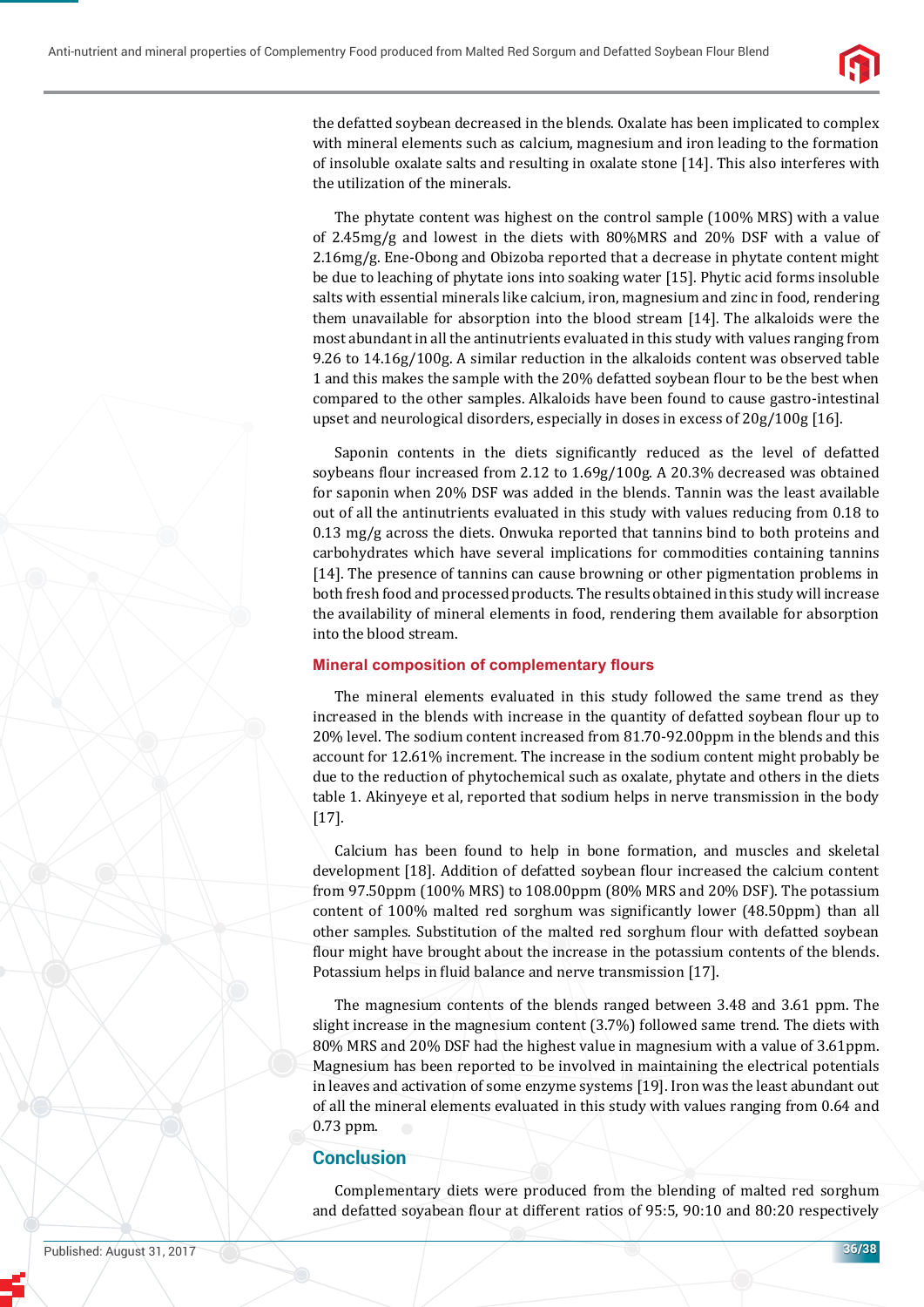

the defatted soybean decreased in the blends. Oxalate has been implicated to complex with mineral elements such as calcium, magnesium and iron leading to the formation of insoluble oxalate salts and resulting in oxalate stone [14]. This also interferes with the utilization of the minerals.

The phytate content was highest on the control sample (100% MRS) with a value of 2.45mg/g and lowest in the diets with 80%MRS and 20% DSF with a value of 2.16mg/g. Ene-Obong and Obizoba reported that a decrease in phytate content might be due to leaching of phytate ions into soaking water [15]. Phytic acid forms insoluble salts with essential minerals like calcium, iron, magnesium and zinc in food, rendering them unavailable for absorption into the blood stream [14]. The alkaloids were the most abundant in all the antinutrients evaluated in this study with values ranging from 9.26 to 14.16g/100g. A similar reduction in the alkaloids content was observed table 1 and this makes the sample with the 20% defatted soybean flour to be the best when compared to the other samples. Alkaloids have been found to cause gastro-intestinal upset and neurological disorders, especially in doses in excess of 20g/100g [16].

Saponin contents in the diets significantly reduced as the level of defatted soybeans flour increased from 2.12 to 1.69g/100g. A 20.3% decreased was obtained for saponin when 20% DSF was added in the blends. Tannin was the least available out of all the antinutrients evaluated in this study with values reducing from 0.18 to 0.13 mg/g across the diets. Onwuka reported that tannins bind to both proteins and carbohydrates which have several implications for commodities containing tannins [14]. The presence of tannins can cause browning or other pigmentation problems in both fresh food and processed products. The results obtained in this study will increase the availability of mineral elements in food, rendering them available for absorption into the blood stream.

## **Mineral composition of complementary flours**

The mineral elements evaluated in this study followed the same trend as they increased in the blends with increase in the quantity of defatted soybean flour up to 20% level. The sodium content increased from 81.70-92.00ppm in the blends and this account for 12.61% increment. The increase in the sodium content might probably be due to the reduction of phytochemical such as oxalate, phytate and others in the diets table 1. Akinyeye et al, reported that sodium helps in nerve transmission in the body [17].

Calcium has been found to help in bone formation, and muscles and skeletal development [18]. Addition of defatted soybean flour increased the calcium content from 97.50ppm (100% MRS) to 108.00ppm (80% MRS and 20% DSF). The potassium content of 100% malted red sorghum was significantly lower (48.50ppm) than all other samples. Substitution of the malted red sorghum flour with defatted soybean flour might have brought about the increase in the potassium contents of the blends. Potassium helps in fluid balance and nerve transmission [17].

The magnesium contents of the blends ranged between 3.48 and 3.61 ppm. The slight increase in the magnesium content (3.7%) followed same trend. The diets with 80% MRS and 20% DSF had the highest value in magnesium with a value of 3.61ppm. Magnesium has been reported to be involved in maintaining the electrical potentials in leaves and activation of some enzyme systems [19]. Iron was the least abundant out of all the mineral elements evaluated in this study with values ranging from 0.64 and 0.73 ppm.

# **Conclusion**

Complementary diets were produced from the blending of malted red sorghum and defatted soyabean flour at different ratios of 95:5, 90:10 and 80:20 respectively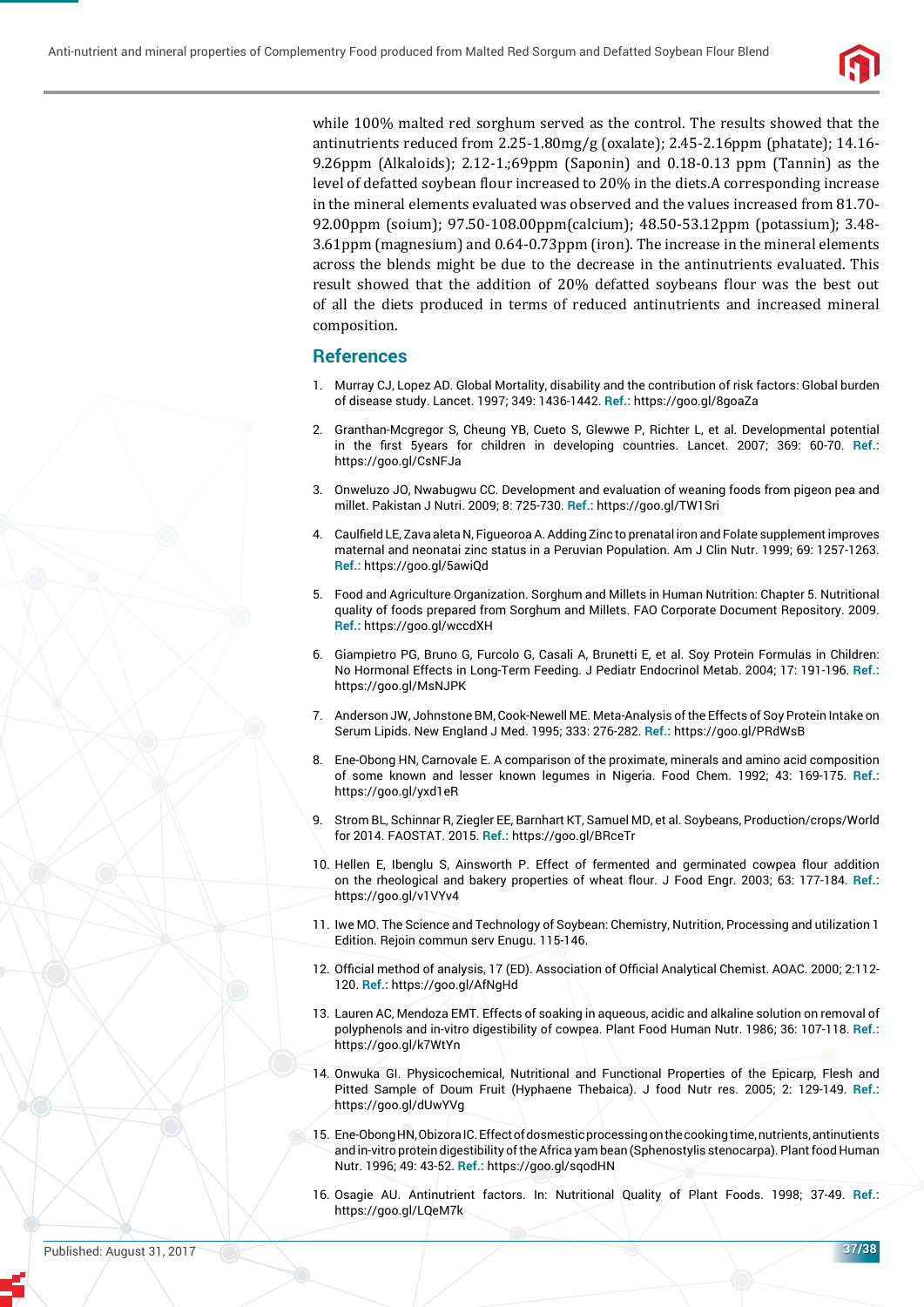

while 100% malted red sorghum served as the control. The results showed that the antinutrients reduced from 2.25-1.80mg/g (oxalate); 2.45-2.16ppm (phatate); 14.16- 9.26ppm (Alkaloids); 2.12-1.;69ppm (Saponin) and 0.18-0.13 ppm (Tannin) as the level of defatted soybean flour increased to 20% in the diets.A corresponding increase in the mineral elements evaluated was observed and the values increased from 81.70- 92.00ppm (soium); 97.50-108.00ppm(calcium); 48.50-53.12ppm (potassium); 3.48- 3.61ppm (magnesium) and 0.64-0.73ppm (iron). The increase in the mineral elements across the blends might be due to the decrease in the antinutrients evaluated. This result showed that the addition of 20% defatted soybeans flour was the best out of all the diets produced in terms of reduced antinutrients and increased mineral composition.

#### **References**

- 1. Murray CJ, Lopez AD. Global Mortality, disability and the contribution of risk factors: Global burden of disease study. Lancet. 1997; 349: 1436-1442. **Ref.:** https://goo.gl/8goaZa
- 2. Granthan-Mcgregor S, Cheung YB, Cueto S, Glewwe P, Richter L, et al. Developmental potential in the first 5years for children in developing countries. Lancet. 2007; 369: 60-70. Ref.: https://goo.gl/CsNFJa
- 3. Onweluzo JO, Nwabugwu CC. Development and evaluation of weaning foods from pigeon pea and millet. Pakistan J Nutri. 2009; 8: 725-730. **Ref.:** https://goo.gl/TW1Sri
- 4. Caulfield LE, Zava aleta N, Figueoroa A. Adding Zinc to prenatal iron and Folate supplement improves maternal and neonatai zinc status in a Peruvian Population. Am J Clin Nutr. 1999; 69: 1257-1263. **Ref.:** https://goo.gl/5awiQd
- 5. Food and Agriculture Organization. Sorghum and Millets in Human Nutrition: Chapter 5. Nutritional quality of foods prepared from Sorghum and Millets. FAO Corporate Document Repository. 2009. **Ref.:** https://goo.gl/wccdXH
- 6. Giampietro PG, Bruno G, Furcolo G, Casali A, Brunetti E, et al. Soy Protein Formulas in Children: No Hormonal Effects in Long-Term Feeding. J Pediatr Endocrinol Metab. 2004; 17: 191-196. **Ref.:** https://goo.gl/MsNJPK
- 7. Anderson JW, Johnstone BM, Cook-Newell ME. Meta-Analysis of the Effects of Soy Protein Intake on Serum Lipids. New England J Med. 1995; 333: 276-282. **Ref.:** https://goo.gl/PRdWsB
- 8. Ene-Obong HN, Carnovale E. A comparison of the proximate, minerals and amino acid composition of some known and lesser known legumes in Nigeria. Food Chem. 1992; 43: 169-175. **Ref.:** https://goo.gl/yxd1eR
- 9. Strom BL, Schinnar R, Ziegler EE, Barnhart KT, Samuel MD, et al. Soybeans, Production/crops/World for 2014. FAOSTAT. 2015. **Ref.:** https://goo.gl/BRceTr
- 10. Hellen E, Ibenglu S, Ainsworth P. Effect of fermented and germinated cowpea flour addition on the rheological and bakery properties of wheat flour. J Food Engr. 2003; 63: 177-184. Ref.: https://goo.gl/v1VYv4
- 11. Iwe MO. The Science and Technology of Soybean: Chemistry, Nutrition, Processing and utilization 1 Edition. Rejoin commun serv Enugu. 115-146.
- 12. Official method of analysis, 17 (ED). Association of Official Analytical Chemist. AOAC. 2000; 2:112-120. **Ref.:** https://goo.gl/AfNgHd
- 13. Lauren AC, Mendoza EMT. Effects of soaking in aqueous, acidic and alkaline solution on removal of polyphenols and in-vitro digestibility of cowpea. Plant Food Human Nutr. 1986; 36: 107-118. **Ref.:** https://goo.gl/k7WtYn
- 14. Onwuka GI. Physicochemical, Nutritional and Functional Properties of the Epicarp, Flesh and Pitted Sample of Doum Fruit (Hyphaene Thebaica). J food Nutr res. 2005; 2: 129-149. **Ref.:** https://goo.gl/dUwYVg
- 15. Ene-Obong HN, Obizora IC. Effect of dosmestic processing on the cooking time, nutrients, antinutients and in-vitro protein digestibility of the Africa yam bean (Sphenostylis stenocarpa). Plant food Human Nutr. 1996; 49: 43-52. **Ref.:** https://goo.gl/sqodHN
- 16. Osagie AU. Antinutrient factors. In: Nutritional Quality of Plant Foods. 1998; 37-49. **Ref.:** https://goo.gl/LQeM7k